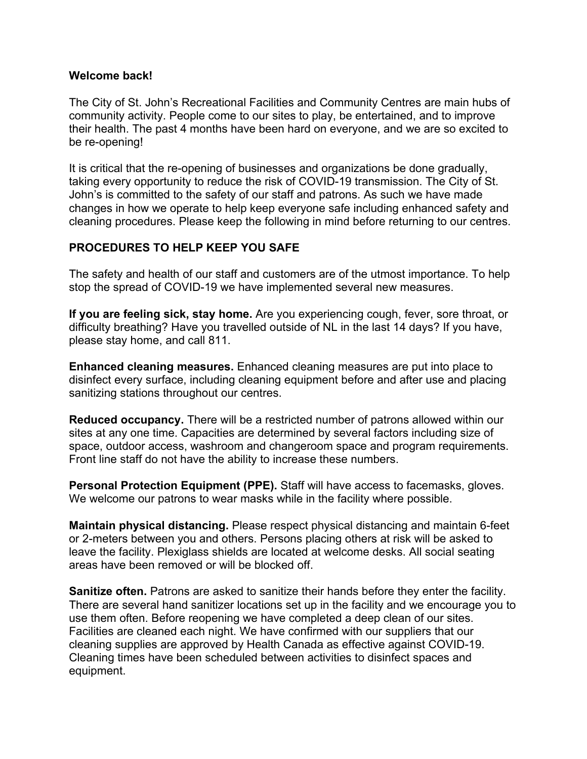#### **Welcome back!**

The City of St. John's Recreational Facilities and Community Centres are main hubs of community activity. People come to our sites to play, be entertained, and to improve their health. The past 4 months have been hard on everyone, and we are so excited to be re-opening!

It is critical that the re-opening of businesses and organizations be done gradually, taking every opportunity to reduce the risk of COVID-19 transmission. The City of St. John's is committed to the safety of our staff and patrons. As such we have made changes in how we operate to help keep everyone safe including enhanced safety and cleaning procedures. Please keep the following in mind before returning to our centres.

# **PROCEDURES TO HELP KEEP YOU SAFE**

The safety and health of our staff and customers are of the utmost importance. To help stop the spread of COVID-19 we have implemented several new measures.

**If you are feeling sick, stay home.** Are you experiencing cough, fever, sore throat, or difficulty breathing? Have you travelled outside of NL in the last 14 days? If you have, please stay home, and call 811.

**Enhanced cleaning measures.** Enhanced cleaning measures are put into place to disinfect every surface, including cleaning equipment before and after use and placing sanitizing stations throughout our centres.

**Reduced occupancy.** There will be a restricted number of patrons allowed within our sites at any one time. Capacities are determined by several factors including size of space, outdoor access, washroom and changeroom space and program requirements. Front line staff do not have the ability to increase these numbers.

**Personal Protection Equipment (PPE).** Staff will have access to facemasks, gloves. We welcome our patrons to wear masks while in the facility where possible.

**Maintain physical distancing.** Please respect physical distancing and maintain 6-feet or 2-meters between you and others. Persons placing others at risk will be asked to leave the facility. Plexiglass shields are located at welcome desks. All social seating areas have been removed or will be blocked off.

**Sanitize often.** Patrons are asked to sanitize their hands before they enter the facility. There are several hand sanitizer locations set up in the facility and we encourage you to use them often. Before reopening we have completed a deep clean of our sites. Facilities are cleaned each night. We have confirmed with our suppliers that our cleaning supplies are approved by Health Canada as effective against COVID-19. Cleaning times have been scheduled between activities to disinfect spaces and equipment.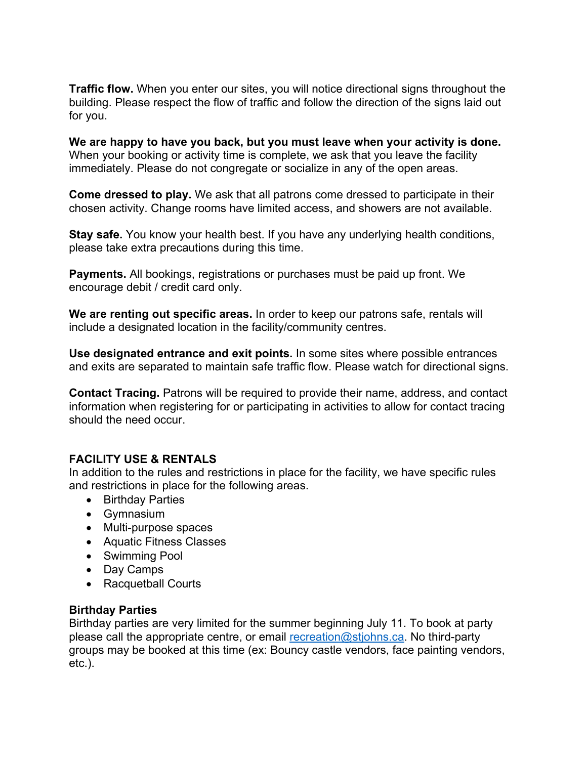**Traffic flow.** When you enter our sites, you will notice directional signs throughout the building. Please respect the flow of traffic and follow the direction of the signs laid out for you.

**We are happy to have you back, but you must leave when your activity is done.**  When your booking or activity time is complete, we ask that you leave the facility immediately. Please do not congregate or socialize in any of the open areas.

**Come dressed to play.** We ask that all patrons come dressed to participate in their chosen activity. Change rooms have limited access, and showers are not available.

**Stay safe.** You know your health best. If you have any underlying health conditions, please take extra precautions during this time.

**Payments.** All bookings, registrations or purchases must be paid up front. We encourage debit / credit card only.

**We are renting out specific areas.** In order to keep our patrons safe, rentals will include a designated location in the facility/community centres.

**Use designated entrance and exit points.** In some sites where possible entrances and exits are separated to maintain safe traffic flow. Please watch for directional signs.

**Contact Tracing.** Patrons will be required to provide their name, address, and contact information when registering for or participating in activities to allow for contact tracing should the need occur.

#### **FACILITY USE & RENTALS**

In addition to the rules and restrictions in place for the facility, we have specific rules and restrictions in place for the following areas.

- Birthday Parties
- Gymnasium
- Multi-purpose spaces
- Aquatic Fitness Classes
- Swimming Pool
- Day Camps
- Racquetball Courts

#### **Birthday Parties**

Birthday parties are very limited for the summer beginning July 11. To book at party please call the appropriate centre, or email [recreation@stjohns.ca.](mailto:recreation@stjohns.ca) No third-party groups may be booked at this time (ex: Bouncy castle vendors, face painting vendors, etc.).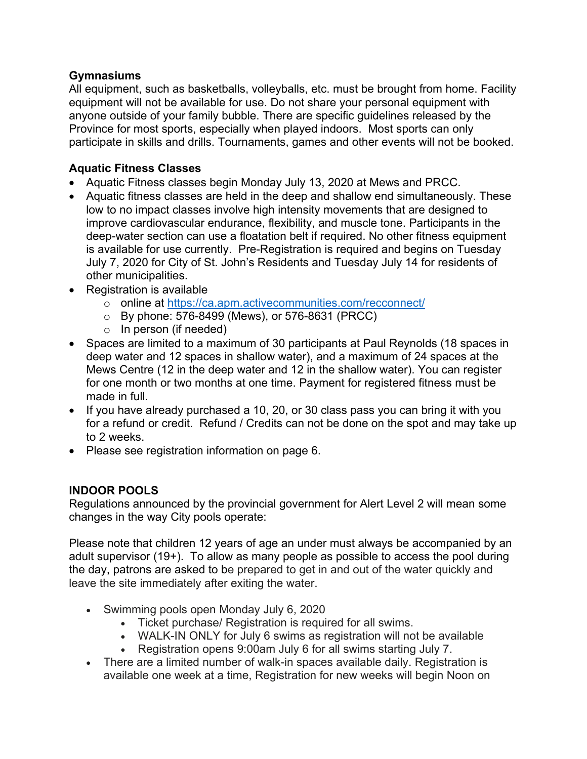# **Gymnasiums**

All equipment, such as basketballs, volleyballs, etc. must be brought from home. Facility equipment will not be available for use. Do not share your personal equipment with anyone outside of your family bubble. There are specific guidelines released by the Province for most sports, especially when played indoors. Most sports can only participate in skills and drills. Tournaments, games and other events will not be booked.

# **Aquatic Fitness Classes**

- Aquatic Fitness classes begin Monday July 13, 2020 at Mews and PRCC.
- Aquatic fitness classes are held in the deep and shallow end simultaneously. These low to no impact classes involve high intensity movements that are designed to improve cardiovascular endurance, flexibility, and muscle tone. Participants in the deep-water section can use a floatation belt if required. No other fitness equipment is available for use currently. Pre-Registration is required and begins on Tuesday July 7, 2020 for City of St. John's Residents and Tuesday July 14 for residents of other municipalities.
- Registration is available
	- o online at<https://ca.apm.activecommunities.com/recconnect/>
	- o By phone: 576-8499 (Mews), or 576-8631 (PRCC)
	- $\circ$  In person (if needed)
- Spaces are limited to a maximum of 30 participants at Paul Reynolds (18 spaces in deep water and 12 spaces in shallow water), and a maximum of 24 spaces at the Mews Centre (12 in the deep water and 12 in the shallow water). You can register for one month or two months at one time. Payment for registered fitness must be made in full.
- If you have already purchased a 10, 20, or 30 class pass you can bring it with you for a refund or credit. Refund / Credits can not be done on the spot and may take up to 2 weeks.
- Please see registration information on page 6.

# **INDOOR POOLS**

Regulations announced by the provincial government for Alert Level 2 will mean some changes in the way City pools operate:

Please note that children 12 years of age an under must always be accompanied by an adult supervisor (19+). To allow as many people as possible to access the pool during the day, patrons are asked to be prepared to get in and out of the water quickly and leave the site immediately after exiting the water.

- Swimming pools open Monday July 6, 2020
	- Ticket purchase/ Registration is required for all swims.
	- WALK-IN ONLY for July 6 swims as registration will not be available
	- Registration opens 9:00am July 6 for all swims starting July 7.
- There are a limited number of walk-in spaces available daily. Registration is available one week at a time, Registration for new weeks will begin Noon on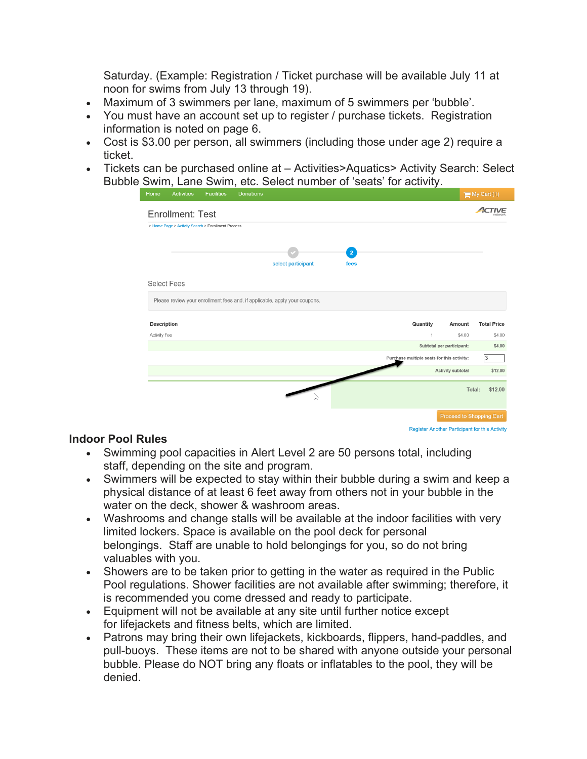Saturday. (Example: Registration / Ticket purchase will be available July 11 at noon for swims from July 13 through 19).

- Maximum of 3 swimmers per lane, maximum of 5 swimmers per 'bubble'.
- You must have an account set up to register / purchase tickets. Registration information is noted on page 6.
- Cost is \$3.00 per person, all swimmers (including those under age 2) require a ticket.
- Tickets can be purchased online at Activities > Aquatics > Activity Search: Select Bubble Swim, Lane Swim, etc. Select number of 'seats' for activity.

| Home                                                                       | <b>Activities</b> | <b>Facilities</b> | <b>Donations</b>   |                        |                                            |                           | $My$ Cart (1)            |
|----------------------------------------------------------------------------|-------------------|-------------------|--------------------|------------------------|--------------------------------------------|---------------------------|--------------------------|
| Enrollment: Test                                                           |                   |                   |                    |                        |                                            |                           | IVE                      |
| > Home Page > Activity Search > Enrollment Process                         |                   |                   |                    |                        |                                            |                           |                          |
|                                                                            |                   |                   | select participant | $\overline{2}$<br>fees |                                            |                           |                          |
| <b>Select Fees</b>                                                         |                   |                   |                    |                        |                                            |                           |                          |
| Please review your enrollment fees and, if applicable, apply your coupons. |                   |                   |                    |                        |                                            |                           |                          |
| <b>Description</b>                                                         |                   |                   |                    |                        | Quantity                                   | Amount                    | <b>Total Price</b>       |
| Activity Fee                                                               |                   |                   |                    |                        | $\overline{1}$                             | \$4.00                    | \$4.00                   |
|                                                                            |                   |                   |                    |                        |                                            | Subtotal per participant: | \$4.00                   |
|                                                                            |                   |                   |                    |                        | Purchase multiple seats for this activity: |                           | 3                        |
|                                                                            |                   |                   |                    |                        |                                            | <b>Activity subtotal</b>  | \$12.00                  |
|                                                                            |                   |                   |                    |                        |                                            | Total:                    | \$12.00                  |
|                                                                            |                   |                   |                    |                        |                                            |                           | Proceed to Shopping Cart |

**Register Another Participant for this Activity** 

#### **Indoor Pool Rules**

- Swimming pool capacities in Alert Level 2 are 50 persons total, including staff, depending on the site and program.
- Swimmers will be expected to stay within their bubble during a swim and keep a physical distance of at least 6 feet away from others not in your bubble in the water on the deck, shower & washroom areas.
- Washrooms and change stalls will be available at the indoor facilities with very limited lockers. Space is available on the pool deck for personal belongings. Staff are unable to hold belongings for you, so do not bring valuables with you.
- Showers are to be taken prior to getting in the water as required in the Public Pool regulations. Shower facilities are not available after swimming; therefore, it is recommended you come dressed and ready to participate.
- Equipment will not be available at any site until further notice except for lifejackets and fitness belts, which are limited.
- Patrons may bring their own lifejackets, kickboards, flippers, hand-paddles, and pull-buoys. These items are not to be shared with anyone outside your personal bubble. Please do NOT bring any floats or inflatables to the pool, they will be denied.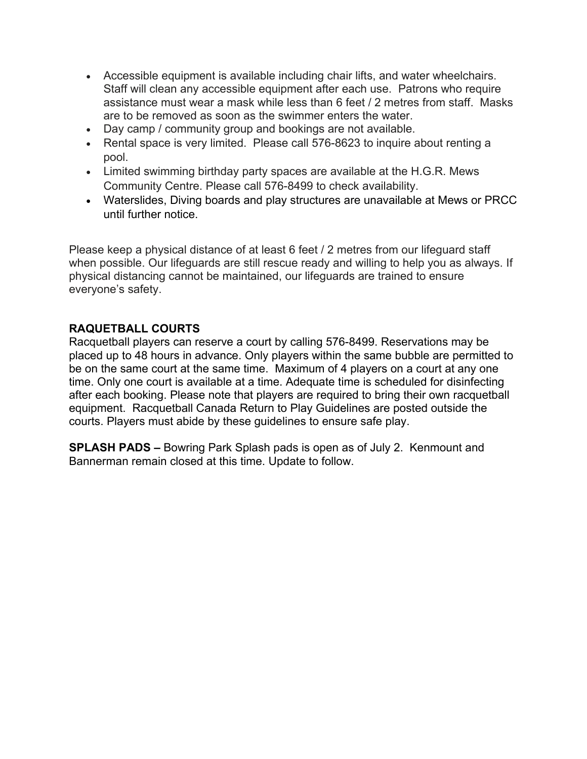- Accessible equipment is available including chair lifts, and water wheelchairs. Staff will clean any accessible equipment after each use. Patrons who require assistance must wear a mask while less than 6 feet / 2 metres from staff. Masks are to be removed as soon as the swimmer enters the water.
- Day camp / community group and bookings are not available.
- Rental space is very limited. Please call 576-8623 to inquire about renting a pool.
- Limited swimming birthday party spaces are available at the H.G.R. Mews Community Centre. Please call 576-8499 to check availability.
- Waterslides, Diving boards and play structures are unavailable at Mews or PRCC until further notice.

Please keep a physical distance of at least 6 feet / 2 metres from our lifeguard staff when possible. Our lifeguards are still rescue ready and willing to help you as always. If physical distancing cannot be maintained, our lifeguards are trained to ensure everyone's safety.

#### **RAQUETBALL COURTS**

Racquetball players can reserve a court by calling 576-8499. Reservations may be placed up to 48 hours in advance. Only players within the same bubble are permitted to be on the same court at the same time. Maximum of 4 players on a court at any one time. Only one court is available at a time. Adequate time is scheduled for disinfecting after each booking. Please note that players are required to bring their own racquetball equipment. Racquetball Canada Return to Play Guidelines are posted outside the courts. Players must abide by these guidelines to ensure safe play.

**SPLASH PADS –** Bowring Park Splash pads is open as of July 2. Kenmount and Bannerman remain closed at this time. Update to follow.